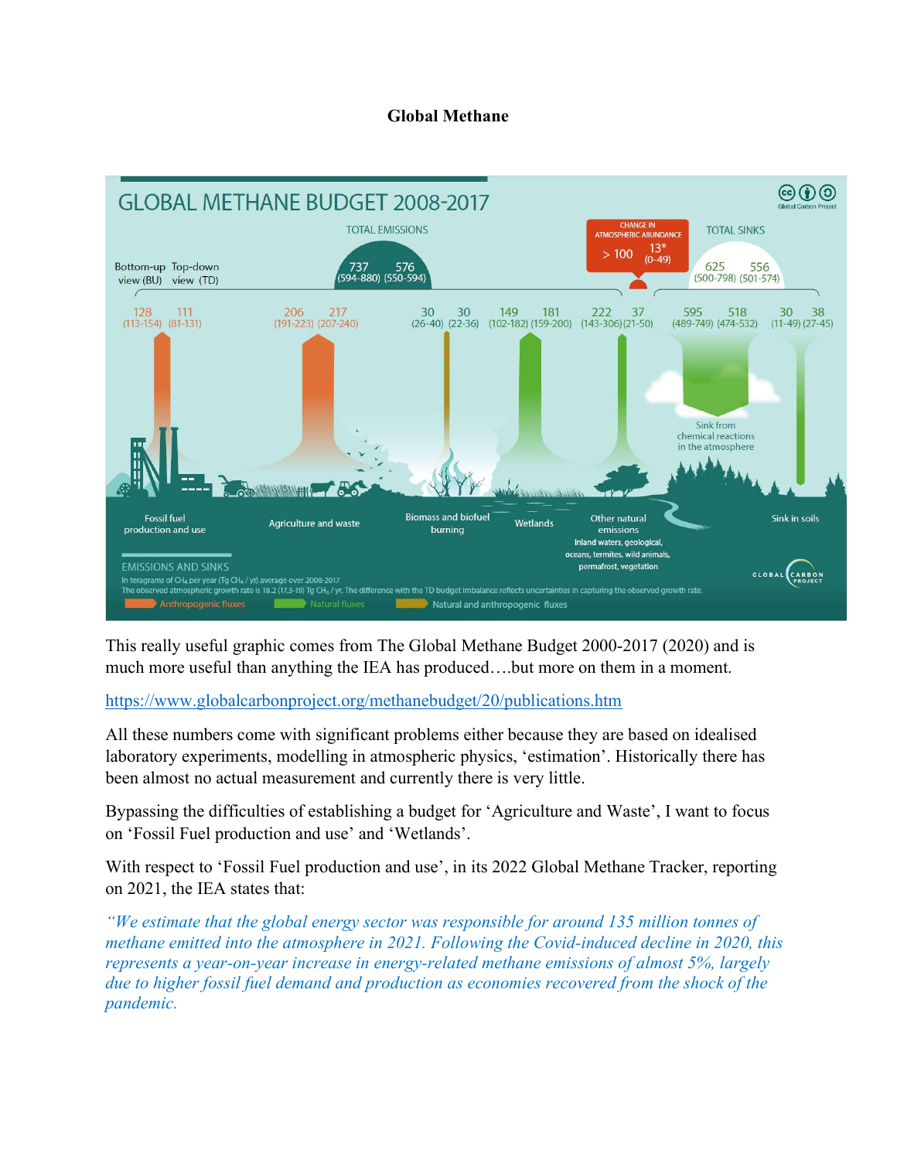## Global Methane



This really useful graphic comes from The Global Methane Budget 2000-2017 (2020) and is much more useful than anything the IEA has produced….but more on them in a moment.

https://www.globalcarbonproject.org/methanebudget/20/publications.htm

All these numbers come with significant problems either because they are based on idealised laboratory experiments, modelling in atmospheric physics, 'estimation'. Historically there has been almost no actual measurement and currently there is very little.

Bypassing the difficulties of establishing a budget for 'Agriculture and Waste', I want to focus on 'Fossil Fuel production and use' and 'Wetlands'.

With respect to 'Fossil Fuel production and use', in its 2022 Global Methane Tracker, reporting on 2021, the IEA states that:

"We estimate that the global energy sector was responsible for around 135 million tonnes of methane emitted into the atmosphere in 2021. Following the Covid-induced decline in 2020, this represents a year-on-year increase in energy-related methane emissions of almost 5%, largely due to higher fossil fuel demand and production as economies recovered from the shock of the pandemic.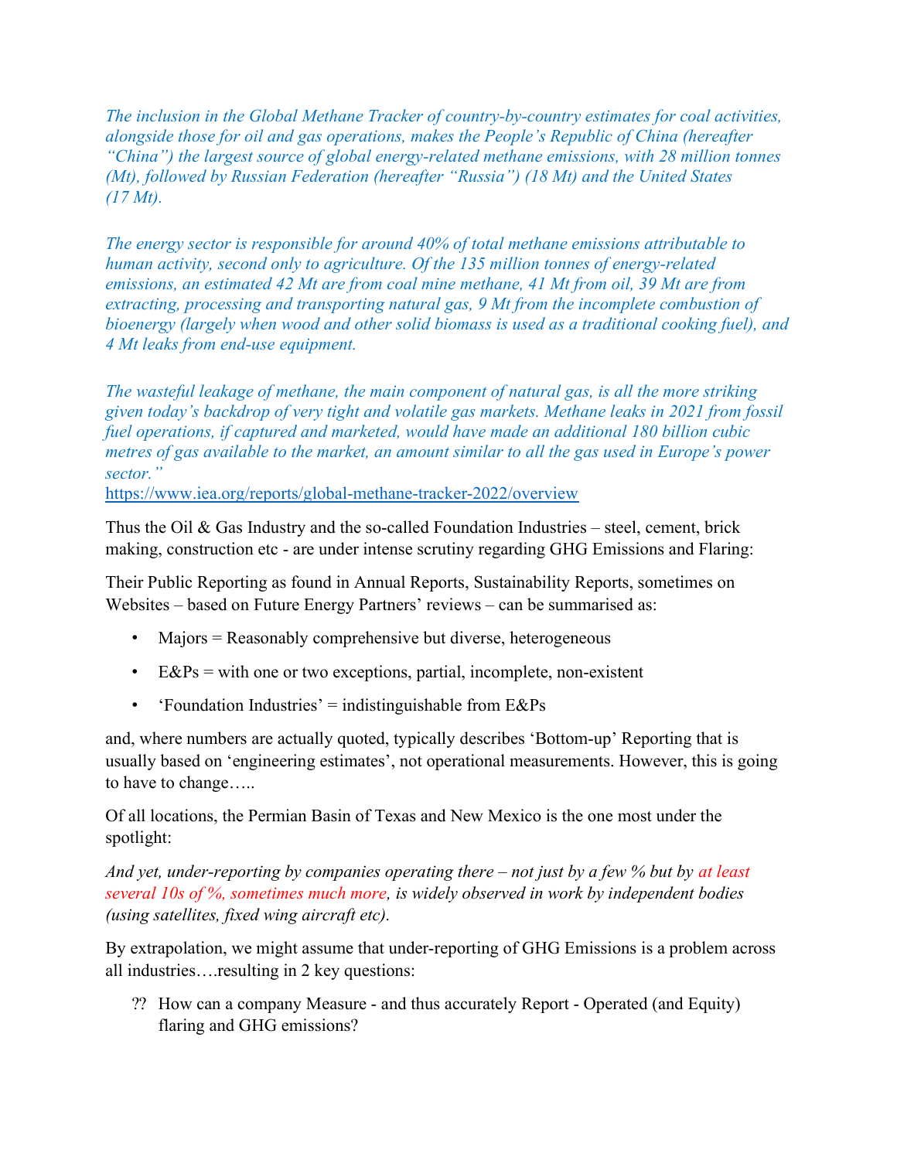The inclusion in the Global Methane Tracker of country-by-country estimates for coal activities, alongside those for oil and gas operations, makes the People's Republic of China (hereafter "China") the largest source of global energy-related methane emissions, with 28 million tonnes (Mt), followed by Russian Federation (hereafter "Russia") (18 Mt) and the United States  $(17 *Mt*).$ 

The energy sector is responsible for around 40% of total methane emissions attributable to human activity, second only to agriculture. Of the 135 million tonnes of energy-related emissions, an estimated 42 Mt are from coal mine methane, 41 Mt from oil, 39 Mt are from extracting, processing and transporting natural gas, 9 Mt from the incomplete combustion of bioenergy (largely when wood and other solid biomass is used as a traditional cooking fuel), and 4 Mt leaks from end-use equipment.

The wasteful leakage of methane, the main component of natural gas, is all the more striking given today's backdrop of very tight and volatile gas markets. Methane leaks in 2021 from fossil fuel operations, if captured and marketed, would have made an additional 180 billion cubic metres of gas available to the market, an amount similar to all the gas used in Europe's power sector."

https://www.iea.org/reports/global-methane-tracker-2022/overview

Thus the Oil  $\&$  Gas Industry and the so-called Foundation Industries – steel, cement, brick making, construction etc - are under intense scrutiny regarding GHG Emissions and Flaring:

Their Public Reporting as found in Annual Reports, Sustainability Reports, sometimes on Websites – based on Future Energy Partners' reviews – can be summarised as:

- Majors = Reasonably comprehensive but diverse, heterogeneous
- E&Ps = with one or two exceptions, partial, incomplete, non-existent
- 'Foundation Industries' = indistinguishable from  $E\&Ps$

and, where numbers are actually quoted, typically describes 'Bottom-up' Reporting that is usually based on 'engineering estimates', not operational measurements. However, this is going to have to change…..

Of all locations, the Permian Basin of Texas and New Mexico is the one most under the spotlight:

And yet, under-reporting by companies operating there  $-$  not just by a few  $\%$  but by at least several  $10s$  of %, sometimes much more, is widely observed in work by independent bodies (using satellites, fixed wing aircraft etc).

By extrapolation, we might assume that under-reporting of GHG Emissions is a problem across all industries….resulting in 2 key questions:

⁇ How can a company Measure - and thus accurately Report - Operated (and Equity) flaring and GHG emissions?